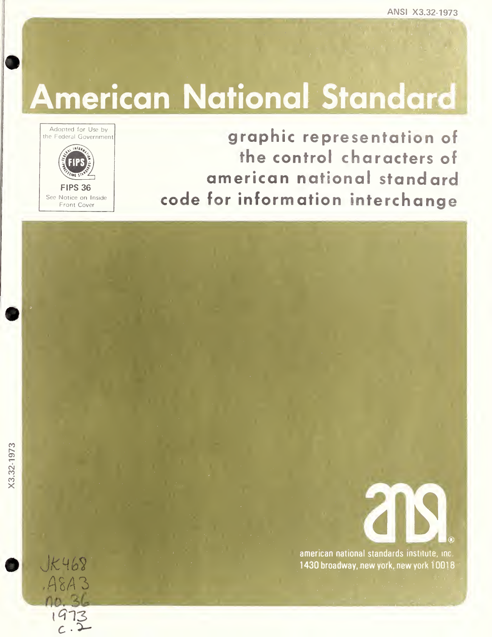# **American National Standard**

Adopted for Use by the Federal Government  $1000$ 

FIPS 36 See Notice on Inside Front Cover

X3.32-1973

\$2

1973  $\epsilon$ .

graphic representation of the control characters of american national standard code for information interchange

a american national standards institute, inc.  $K468$ 1430 broadway, new york, new york 10018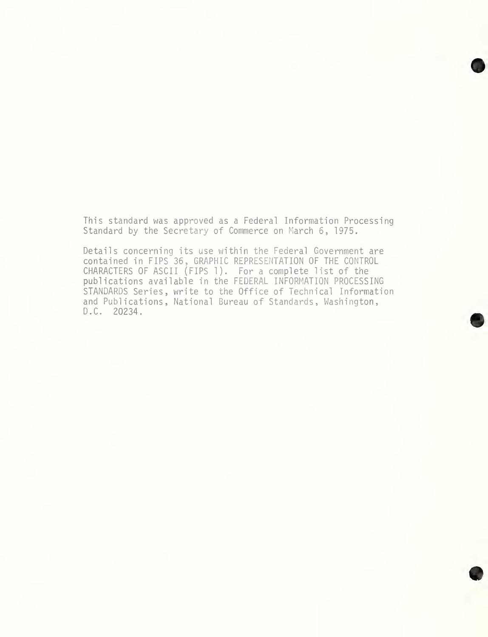This standard was approved as a Federal Information Processing Standard by the Secretary of Commerce on March 6, 1975.

Details concerning its use within the Federal Government are contained in FIPS 36, GRAPHIC REPRESENTATION OF THE CONTROL CHARACTERS OF ASCII (FIPS 1). For a complete list of the publications available in the FEDERAL INFORMATION PROCESSING STANDARDS Series, write to the Office of Technical Information and Publications, National Bureau of Standards, Washington, D.C. 20234.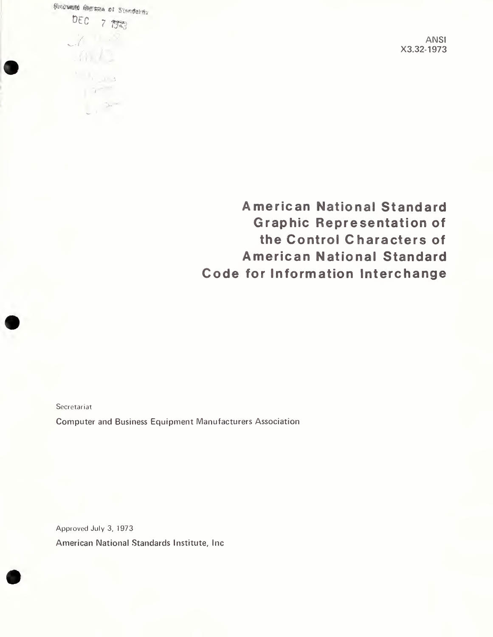Ølvæunet Gurssa of Stenderer ore <sup>7</sup>  $\sim$ n

ANSI X3.32-1973

American National Standard Graphic Representation of the Control Characters of American National Standard Code for Information Interchange

Secretariat

Computer and Business Equipment Manufacturers Association

Approved July 3, 1973 American National Standards Institute, Inc

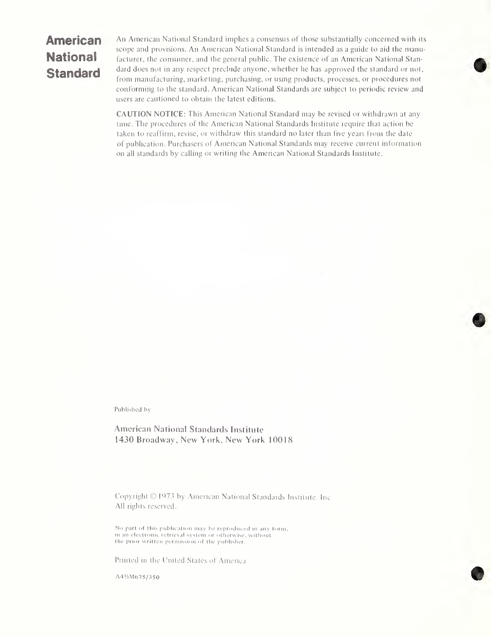### American **National Standard**

An American National Standard implies a consensus of those substantially concerned with its scope and provisions. An American National Standard is intended as a guide to aid the manufacturer, the consumer, and the general public. The existence of an American National Standard does not in any respect preclude anyone, whether he has approved the standard or not, from manufacturing, marketing, purchasing, or using products, processes, or procedures not conforming to the standard. American National Standards are subject to periodic review and users are cautioned to obtain the latest editions.

CAUTION NOTICE: This American National Standard may be revised or withdrawn at any time. The procedures of the American National Standards Institute require that action be taken to reaffirm, revise, or withdraw this standard no later than five years from the date of publication. Purchasers of American National Standards may receive current information on all standards by calling or writing the American National Standards Institute.

Published by

American National Standards Institute 1430 Broadway. New York, New York 10018

Copyright © 1973 by American National Standards Institute. Inc All rights reserved.

No part of this publication may be reproduced in any form, in an electronic retrieval system or otherwise, without the prior written permission of the publisher.

Printed in the United States of America

A4½M675/350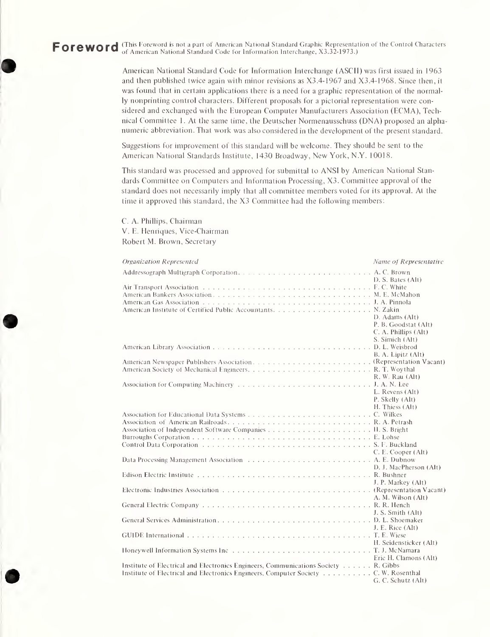Foreword (This Foreword is not a part of American National Standard Graphic Representation of the Control Characters of American National Standard Code for Information Interchange, X3.32-1973.)

> American National Standard Code for Information Interchange (ASCII) was first issued in 1963 and then published twice again with minor revisions as X3.4-1967 and X3.4-1968. Since then, it was found that in certain applications there is a need for a graphic representation of the normally nonprinting control characters. Different proposals for a pictorial representation were considered and exchanged with the European Computer Manufacturers Association (ECMA), Technical Committee 1. At the same time, the Deutscher Normenausschuss (DNA) proposed an alphanumeric abbreviation. That work was also considered in the development of the present standard.

Suggestions for improvement of this standard will be welcome. They should be sent to the American National Standards Institute, 1430 Broadway, New York, N.Y. 10018.

This standard was processed and approved for submittal to ANSI by American National Stan dards Committee on Computers and Information Processing, X3. Committee approval of the standard does not necessarily imply that all committee members voted for its approval. At the time it approved this standard, the X3 Committee had the following members:

C. A. Phillips, Chairman V. E. Henriques, Vice-Chairman Robert M. Brown, Secretary

| <b>Organization Represented</b>                                                                                                                                           | Name of Representative                                                              |
|---------------------------------------------------------------------------------------------------------------------------------------------------------------------------|-------------------------------------------------------------------------------------|
|                                                                                                                                                                           |                                                                                     |
|                                                                                                                                                                           | D. S. Bates (Alt)<br>D. Adams (Alt)<br>P. B. Goodstat (Alt)<br>C. A. Phillips (Alt) |
|                                                                                                                                                                           | S. Simich (Alt)<br>B. A. Lipitz (Alt)                                               |
|                                                                                                                                                                           | R. W. Rau (Alt)                                                                     |
|                                                                                                                                                                           | L. Revens (Alt)<br>P. Skelly (Alt)                                                  |
|                                                                                                                                                                           | H. Thiess (Alt)                                                                     |
|                                                                                                                                                                           | C. E. Cooper (Alt)                                                                  |
|                                                                                                                                                                           | D. J. MacPherson (Alt)<br>J. P. Markey (Alt)                                        |
|                                                                                                                                                                           | A. M. Wilson (Alt)                                                                  |
|                                                                                                                                                                           |                                                                                     |
|                                                                                                                                                                           | J. S. Smith (Alt)                                                                   |
|                                                                                                                                                                           | J. E. Rice (Alt)                                                                    |
| H. Seidensticker (Alt)<br>Honeywell Information Systems Inc $\hfill\ldots\ldots\ldots\ldots\ldots\ldots\ldots\ldots\ldots\ldots\ldots\ldots$ T. J. McNamara               |                                                                                     |
| Institute of Electrical and Electronics Engineers, Communications Society R. Gibbs<br>Institute of Electrical and Electronics Engineers, Computer Society C. W. Rosenthal | Eric H. Clamons (Alt)<br>G. C. Schutz (Alt)                                         |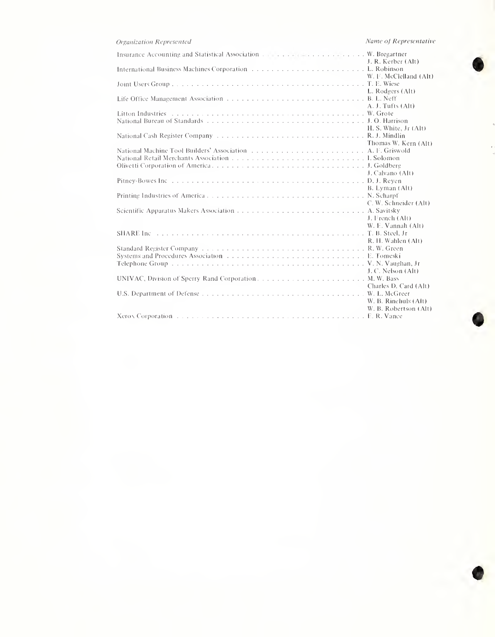|                                                        |  |  |  |  |  | Name of Representative                        |
|--------------------------------------------------------|--|--|--|--|--|-----------------------------------------------|
|                                                        |  |  |  |  |  |                                               |
|                                                        |  |  |  |  |  | J. R. Kerber (Alt)                            |
|                                                        |  |  |  |  |  | W. F. McClelland (Alt)<br>L. Rodgers (Alt)    |
|                                                        |  |  |  |  |  | A. J. Tufts (Alt)                             |
|                                                        |  |  |  |  |  |                                               |
|                                                        |  |  |  |  |  | H. S. White, Jr (Alt)                         |
|                                                        |  |  |  |  |  | Thomas W. Kern (Alt)                          |
|                                                        |  |  |  |  |  | J. Calvano (AIt)                              |
|                                                        |  |  |  |  |  | B. Lyman (Alt)                                |
|                                                        |  |  |  |  |  | C. W. Schneider (Alt)                         |
|                                                        |  |  |  |  |  | J. French (Alt)                               |
| Organization Represented                               |  |  |  |  |  | W. E. Vannah (Alt)                            |
|                                                        |  |  |  |  |  | R. H. Wahlen (Alt)                            |
|                                                        |  |  |  |  |  |                                               |
|                                                        |  |  |  |  |  | J. C. Nelson (Alt)<br>Charles D. Card (Alt)   |
|                                                        |  |  |  |  |  |                                               |
|                                                        |  |  |  |  |  | W. B. Rinehuls (Alt)<br>W. B. Robertson (Alt) |
|                                                        |  |  |  |  |  |                                               |
|                                                        |  |  |  |  |  |                                               |
|                                                        |  |  |  |  |  |                                               |
|                                                        |  |  |  |  |  |                                               |
|                                                        |  |  |  |  |  |                                               |
| UNIVAC, Division of Sperry Rand Corporation M. W. Bass |  |  |  |  |  |                                               |
|                                                        |  |  |  |  |  |                                               |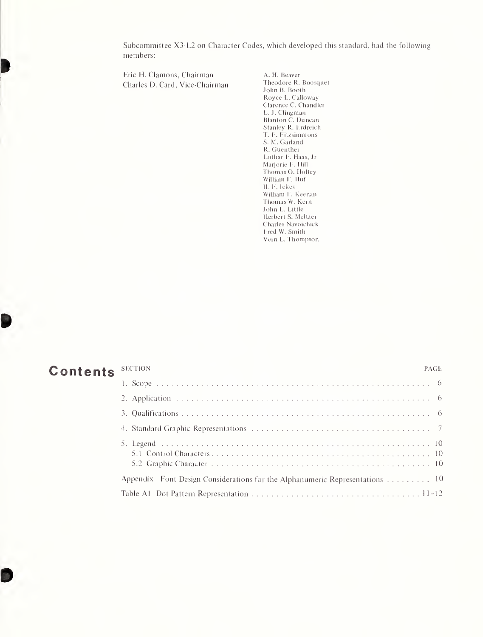Subcommittee X3-L2 on Character Codes, which developed this standard, had the following members:

Eric H. Clamons, Chairman A. H. Beaver<br>
Charles D. Card, Vice-Chairman Theodore R. Boosquet Charles D. Card, Vice-Chairman

John B. Booth Royce L. Calloway Clarence C. Chandler L. J. Clingman Blanton C. Duncan Stanley R. Erdreich T. F. Fitzsimmons S. M. Garland R. Guenther Lothar F. Haas, Jr Marjorie F. Hill Thomas O. Holtey William F. Hut H. F. Ickes William F. Keenan Thomas W. Kern John L. Little Herbert S. Meltzer Charles Navoichick <sup>I</sup> red W. Smith Vern L. Thompson

#### Contents SECTION

# 1.Scope. 2. Application. 3. Qualifications. 4. Standard Graphic Representations. . . 6 5. Legend . . 10 5.1 Control tex X3-1.2 on Character Codes, which developed this standard, Ind<br>
tons, Chairman<br>
2. A. Beave Move Constant<br>
Move Constant Based Reader<br>
Slove Constant<br>
Slove Constant<br>
Slove Constant<br>
Slove Constant<br>
Slove Reader<br>
Slove Characters. Eegend<br>
1. Control Characters.<br>
5.1 Control Characters.<br>
5.2 Graphic Character.<br>
2. Graphic Character. Appendix Font Design Considerations for the Alphanumeric Representations Table A1 Dot Pattern Representation. . 10PAGE . . 6 . . 6 . . 7 . . 10 . . 10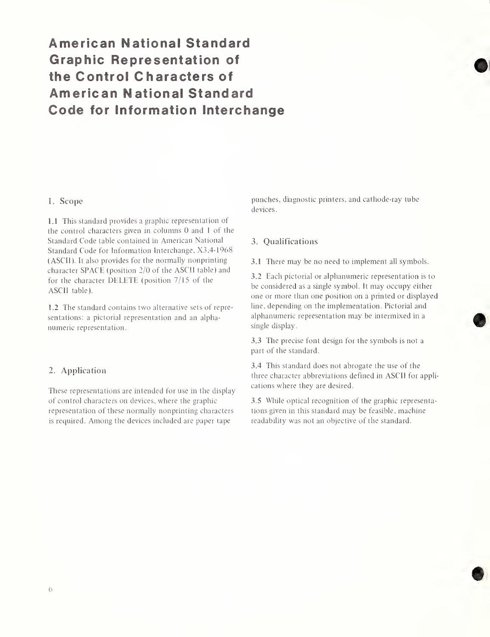# American National Standard Graphic Representation of the Control Characters of American National Standard Code for Information Interchange

#### 1.Scope

1.1 This standard provides a graphic representation of the control characters given in columns 0 and <sup>1</sup> of the Standard Code table contained in American National Standard Code for Information Interchange, X3.4-1968 (ASCII). It also provides for the normally nonprinting character SPACE (position 2/0 of the ASCII table) and for the character DELETE (position 7/15 of the ASCII table).

1.2 The standard contains two alternative sets of representations: a pictorial representation and an alphanumeric representation.

#### 2.Application

These representations are intended for use in the display of control characters on devices, where the graphic representation of these normally nonprinting characters is required. Among the devices included are paper tape

punches, diagnostic printers, and cathode-ray tube devices.

#### 3. Qualifications

3.1 There may be no need to implement all symbols.

3.2 Each pictorial or alphanumeric representation is to be considered as a single symbol. It may occupy either one or more than one position on a printed or displayed line, depending on the implementation. Pictorial and alphanumeric representation may be intermixed in a single display.

3.3 The precise font design for the symbols is not a part of the standard.

3.4 This standard does not abrogate the use of the three character abbreviations defined in ASCII for applications where they are desired.

3.5 While optical recognition of the graphic representations given in this standard may be feasible, machine readability was not an objective of the standard.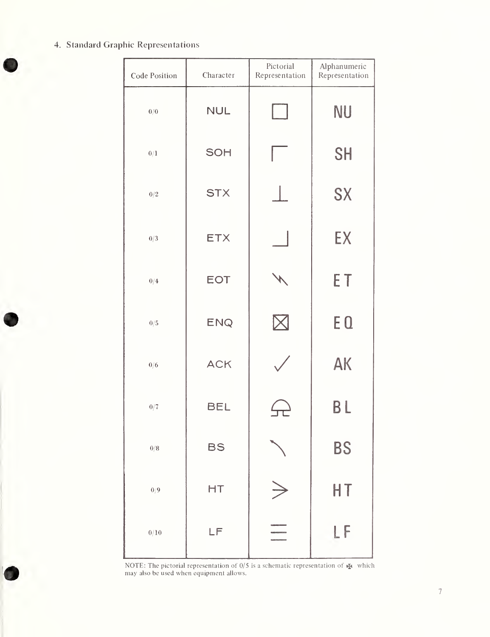#### 4. Standard Graphic Representations

| Code Position  | Character  | Pictorial<br>Representation | Alphanumeric<br>Representation |
|----------------|------------|-----------------------------|--------------------------------|
| $0/0\,$        | <b>NUL</b> |                             | <b>NU</b>                      |
| $0/\mathbf{1}$ | SOH        |                             | <b>SH</b>                      |
| 0/2            | <b>STX</b> |                             | SX                             |
| 0/3            | <b>ETX</b> |                             | EX                             |
| 0/4            | <b>EOT</b> |                             | ET                             |
| $0/5\,$        | ENQ        |                             | E <sub>Q</sub>                 |
| $0/6\,$        | <b>ACK</b> |                             | <b>AK</b>                      |
| 0/7            | <b>BEL</b> |                             | B L                            |
| $0/8\,$        | <b>BS</b>  |                             | <b>BS</b>                      |
| 0/9            | HT         |                             | HT                             |
| $0/10\,$       | LF         |                             | LF                             |

NOTE: The pictorial representation of 0/5 is a schematic representation of  $\mathbf{w}$  which may also be used when equipment allows.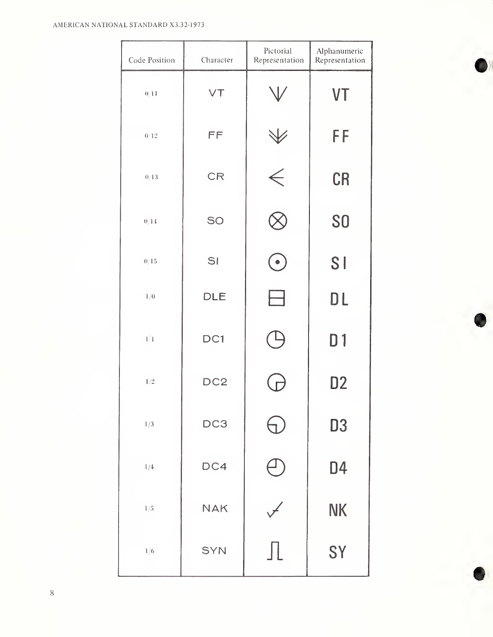#### AMERICAN NATIONAL STANDARD X3.32-1973

| Code Position | Character       | Pictorial<br>Representation  | Alphanumeric<br>Representation |
|---------------|-----------------|------------------------------|--------------------------------|
| 0/11          | $\vee$ T        |                              | VT                             |
| $0/12\,$      | FF              |                              | FF                             |
| $0/13\,$      | CR              | $\left\langle \right\rangle$ | <b>CR</b>                      |
| 0/14          | SO              |                              | S <sub>0</sub>                 |
| 0/15          | SI              |                              | S <sub>1</sub>                 |
| $1/0\,$       | DLE             |                              | DL                             |
| $1/1$         | DC1             |                              | D <sub>1</sub>                 |
| 1/2           | DC <sub>2</sub> |                              | D <sub>2</sub>                 |
| 1/3           | DC3             |                              | <b>D3</b>                      |
| 1/4           | DC4             |                              | D <sub>4</sub>                 |
| $1/5\,$       | <b>NAK</b>      | $\neq$                       | <b>NK</b>                      |
| 1/6           | <b>SYN</b>      | Π                            | SY                             |

 $8\,$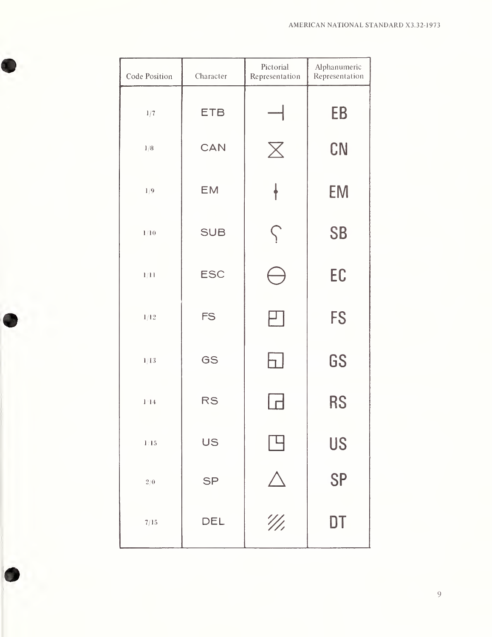| ther. |  |  |
|-------|--|--|
|       |  |  |
|       |  |  |
|       |  |  |
|       |  |  |
|       |  |  |
|       |  |  |
|       |  |  |
|       |  |  |
|       |  |  |
|       |  |  |
|       |  |  |
|       |  |  |
|       |  |  |
|       |  |  |
|       |  |  |
|       |  |  |
|       |  |  |
|       |  |  |
|       |  |  |
|       |  |  |
|       |  |  |
|       |  |  |
|       |  |  |
|       |  |  |
|       |  |  |
|       |  |  |
|       |  |  |
|       |  |  |
|       |  |  |
|       |  |  |
|       |  |  |
|       |  |  |
|       |  |  |
|       |  |  |
|       |  |  |
|       |  |  |
|       |  |  |
|       |  |  |
|       |  |  |
|       |  |  |
|       |  |  |
|       |  |  |
|       |  |  |
|       |  |  |
|       |  |  |
|       |  |  |
|       |  |  |
|       |  |  |
|       |  |  |
|       |  |  |
|       |  |  |
|       |  |  |
|       |  |  |
|       |  |  |
|       |  |  |
|       |  |  |
|       |  |  |

| Code Position | Character  | Pictorial<br>Representation | Alphanumeric<br>Representation |
|---------------|------------|-----------------------------|--------------------------------|
| 1/7           | <b>ETB</b> |                             | EB                             |
| $1/8\,$       | <b>CAN</b> | $\times$                    | CN                             |
| 1/9           | EM         |                             | <b>EM</b>                      |
| $1/10$        | <b>SUB</b> | $\bigcap$                   | <b>SB</b>                      |
| 1/11          | <b>ESC</b> |                             | EC                             |
| 1/12          | <b>FS</b>  |                             | <b>FS</b>                      |
| $1/13$        | GS         |                             | GS                             |
| 1:14          | <b>RS</b>  |                             | <b>RS</b>                      |
| $1/15$        | US         |                             | <b>US</b>                      |
| 2/0           | <b>SP</b>  |                             | <b>SP</b>                      |
| 7/15          | DEL        | $^{\prime\prime\prime}$     | DT                             |

9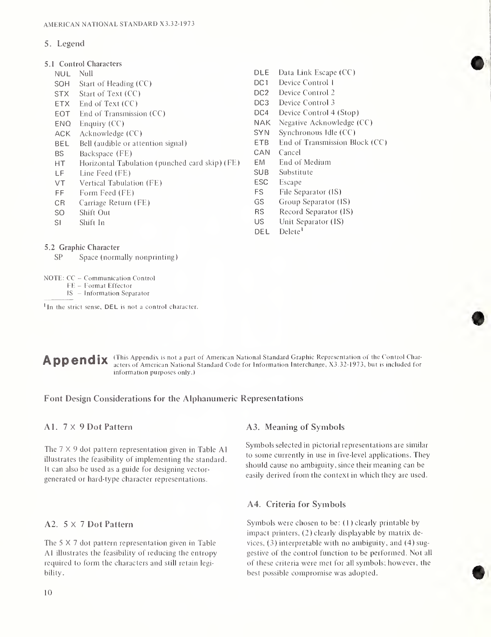- 5. Legend
- 5.1 Control Characters NUL Null DLE Data Link Escape (CC) SOH Start of Heading (CC)  $DC1$  Device Control 1<br>STX Start of Text (CC)  $DC2$  Device Control 2 STX Start of Text (CC) DC2 ETX End of Text (CC) DC3 Device Control 3 EOT End of Transmission (CC) DC4 Device Control 4 (Stop) ENQ Enquiry (CC) NAK Negative Acknowledge (CC) ACK Acknowledge (CC) SYN Synchronous Idle (CC) BEL Bell (audible or attention signal) ETB End of Transmission Block (CC) BS Backspace (FE) CAN Cancel<br>
HT Horizontal Tabulation (punched card skip) (FE) EM End of Medium HT Horizontal Tabulation (punched card skip) (FE) EM LF Line Feed (FE) SUB Substitute<br>
VT Vertical Tabulation (FE) SUB Substitute<br>
SUB Substitute VT Vertical Tabulation (FE) ESC<br>
FF Form Feed (FF) ESC FF Form Feed (FE) FS File Separator (IS) CR Carriage Return (FE) GS Group Separator (IS)<br>SO Shift Out GS Record Separator (IS)
	-
	-
	-
- 
- 
- 
- 
- 
- 
- 
- 
- 
- 
- 
- 
- 
- 
- SO Shift Out RS Record Separator (IS)<br>SI Shift In US Unit Separator (IS)
- SI Shift In US Unit Separator (IS)<br>DEL Delete<sup>1</sup>
	- $Delete<sup>1</sup>$

#### 5.2 Graphic Character

- SP Space (normally nonprinting)
- NOTE: CC Communication Control
	- FE Format Effector
		- IS Information Separator

<sup>1</sup>In the strict sense, DEL is not a control character.

Appendix (This Appendix is not a part of American National Standard Graphic Representation of the Control Characters of American National Standard Code for Information Interchange, X3.32-1973, but is included for information purposes only.)

Font Design Considerations for the Alphanumeric Representations

#### A1. 7x9 Dot Pattern

The  $7 \times 9$  dot pattern representation given in Table A1 illustrates the feasibility of implementing the standard. It can also be used as a guide for designing vectorgenerated or hard-type character representations.

#### A2. 5  $\times$  7 Dot Pattern

The 5 X 7 dot pattern representation given in Table A1 illustrates the feasibility of reducing the entropy required to form the characters and still retain legibility.

#### A3. Meaning of Symbols

Symbols selected in pictorial representations are similar to some currently in use in five-level applications. They should cause no ambiguity, since their meaning can be easily derived from the context in which they are used.

#### A4. Criteria for Symbols

Symbols were chosen to be: (1 ) clearly printable by impact printers,  $(2)$  clearly displayable by matrix devices,  $(3)$  interpretable with no ambiguity, and  $(4)$  suggestive of the control function to be performed. Not all of these criteria were met for all symbols; however, the best possible compromise was adopted.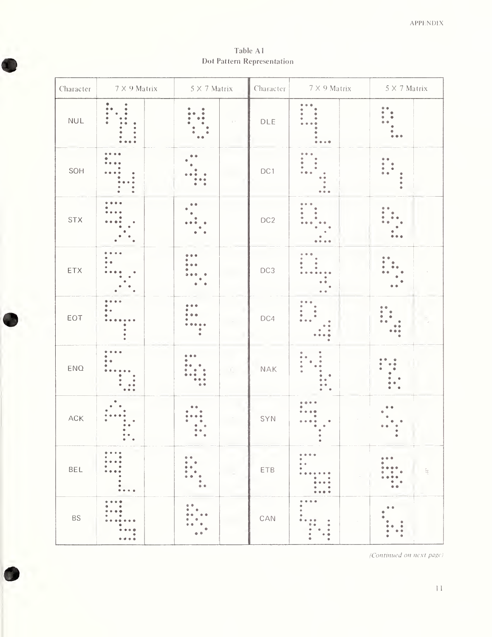Table A1 Dot Pattern Representation

| Character                    | $7\times9$ Matrix | $5\times7$ Matrix | Character       | $7\times9$ Matrix                                                   | $5\times7$ Matrix    |
|------------------------------|-------------------|-------------------|-----------------|---------------------------------------------------------------------|----------------------|
| $\ensuremath{\mathsf{NULL}}$ | $\bullet$         |                   | DLE             |                                                                     |                      |
| SOH                          |                   |                   | DC1             | ¢                                                                   |                      |
| $\text{STX}$                 |                   |                   | DC <sub>2</sub> |                                                                     |                      |
| ETX                          |                   |                   | DC3             |                                                                     |                      |
| EOT                          |                   |                   | DC4             |                                                                     |                      |
| $\mathsf{ENQ}$               |                   |                   | <b>NAK</b>      |                                                                     |                      |
| ${\sf ACK}$                  |                   |                   | SYN             |                                                                     |                      |
| BEL                          | ٠                 | ٠<br>×            | ETB             | $\begin{array}{cc} \bullet & \bullet \end{array}$<br>0 <sup>o</sup> | ۰<br>$\frac{\pi}{2}$ |
| ${\sf BS}$                   | ۰                 | ٠                 | $\mathsf{CAN}$  | 0 <sup>o</sup><br>٠<br>۰<br>é                                       | ۰                    |

(Continued on next page)

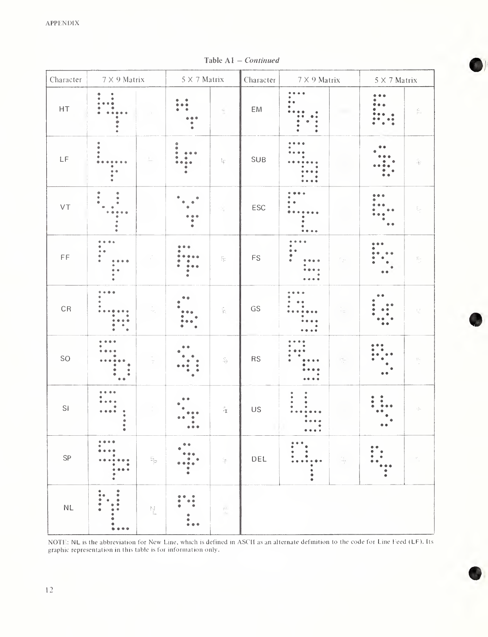| Character                  | $7\times9$ Matrix                                                                                                               |                          | $5$ $\times$ 7 Matrix    |                                   | Character              | $7\times9$ Matrix                             |                          | $5\times7$ Matrix   |                             |
|----------------------------|---------------------------------------------------------------------------------------------------------------------------------|--------------------------|--------------------------|-----------------------------------|------------------------|-----------------------------------------------|--------------------------|---------------------|-----------------------------|
| HT                         | $\bullet$                                                                                                                       |                          |                          | $\frac{1}{\alpha}$                | EM                     | $\bullet$<br>$\bullet$ $\bullet$<br>$\bullet$ |                          | ۰                   | $\frac{d}{d^2\alpha}$       |
| LF                         |                                                                                                                                 |                          | $\ddot{\bullet}$         | $\mathbb{I}_{\Gamma}$             | SUB                    |                                               |                          |                     | Ŵ                           |
| VT                         | $\ddot{\bullet}$<br>٠                                                                                                           |                          |                          | ъ,                                | ESC                    | $\bullet$<br>• •                              |                          |                     |                             |
| $\mathsf{FF}$              | ۰                                                                                                                               |                          |                          | $\frac{m}{2}$                     | $\mathop{\mathsf{FS}}$ |                                               | $\frac{m_{\rm{max}}}{m}$ |                     | $\mathbb{S}_{\mathbb{Z}}$   |
| $\mathsf{CR}$              | ۰                                                                                                                               | ÷,                       |                          | $\tilde{\tilde{\mathbf{p}}}$      | GS                     |                                               | $\sim$                   |                     | $\mathbb{Q}^*_{\mathbb{Z}}$ |
| SO                         | ٠                                                                                                                               | ÷<br>T                   |                          | $\mathbb{S}_l$                    | <b>RS</b>              |                                               |                          |                     | $\Sigma_{\pm}$              |
| $\mathsf{SI}$              | ٠<br>۰<br>$\bullet$                                                                                                             |                          | ۰<br>٠<br>۰              | $\tilde{\mathbb{F}}_{\mathbb{E}}$ | US                     | $\ddot{\bullet}$                              |                          |                     | d.                          |
| $\ensuremath{\mathsf{SP}}$ | 0.0000<br>۰<br>$\bullet$<br>٠                                                                                                   | ş.                       | $\bullet$ $\bullet$<br>۰ | ÷.                                | $\mathsf{DEL}$         | $\ddot{\bullet}$<br>۰<br>۰<br>۰<br>$\bullet$  | à.                       | ۰<br>۰<br>$\bullet$ | $\mathcal{P}_{\mathcal{A}}$ |
| $\mathsf{NL}$              | $\bullet$<br>۰<br>۰<br>$\begin{array}{ccccccccccccccccc} \bullet & \bullet & \bullet & \bullet & \bullet & \bullet \end{array}$ | $\Gamma_{\rm L}^{\rm L}$ | ٠<br>۰<br>۰              | $\frac{1}{\epsilon_{\mu}}$        |                        |                                               |                          |                     |                             |

Table A1 - Continued

NOTE: NL is the abbreviation for New Line, which is defined in ASCII as an alternate definition to the code for Line Feed (LF). Its graphic representation in this table is for information only.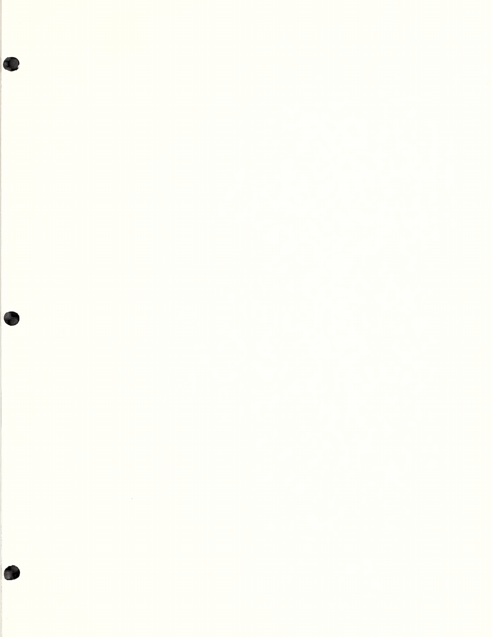